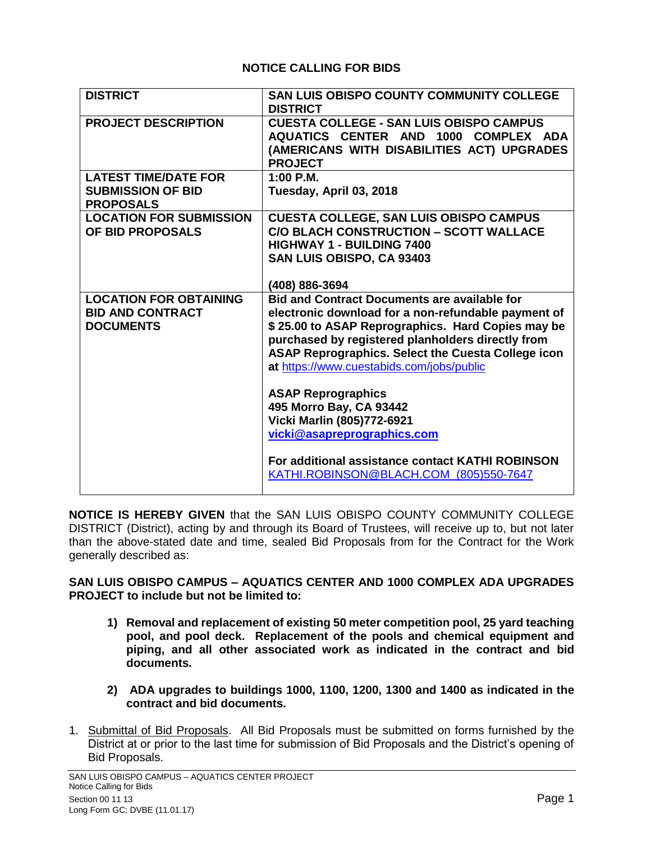## **NOTICE CALLING FOR BIDS**

| <b>DISTRICT</b>                                                              | SAN LUIS OBISPO COUNTY COMMUNITY COLLEGE<br><b>DISTRICT</b>                                                                                                                                                                                                                                                             |
|------------------------------------------------------------------------------|-------------------------------------------------------------------------------------------------------------------------------------------------------------------------------------------------------------------------------------------------------------------------------------------------------------------------|
| <b>PROJECT DESCRIPTION</b>                                                   | <b>CUESTA COLLEGE - SAN LUIS OBISPO CAMPUS</b><br>AQUATICS CENTER AND 1000 COMPLEX ADA<br>(AMERICANS WITH DISABILITIES ACT) UPGRADES<br><b>PROJECT</b>                                                                                                                                                                  |
| <b>LATEST TIME/DATE FOR</b>                                                  | $1:00$ P.M.                                                                                                                                                                                                                                                                                                             |
| <b>SUBMISSION OF BID</b><br><b>PROPOSALS</b>                                 | Tuesday, April 03, 2018                                                                                                                                                                                                                                                                                                 |
| <b>LOCATION FOR SUBMISSION</b><br>OF BID PROPOSALS                           | <b>CUESTA COLLEGE, SAN LUIS OBISPO CAMPUS</b><br><b>C/O BLACH CONSTRUCTION - SCOTT WALLACE</b><br><b>HIGHWAY 1 - BUILDING 7400</b><br>SAN LUIS OBISPO, CA 93403<br>(408) 886-3694                                                                                                                                       |
| <b>LOCATION FOR OBTAINING</b><br><b>BID AND CONTRACT</b><br><b>DOCUMENTS</b> | <b>Bid and Contract Documents are available for</b><br>electronic download for a non-refundable payment of<br>\$25.00 to ASAP Reprographics. Hard Copies may be<br>purchased by registered planholders directly from<br>ASAP Reprographics. Select the Cuesta College icon<br>at https://www.cuestabids.com/jobs/public |
|                                                                              | <b>ASAP Reprographics</b><br>495 Morro Bay, CA 93442<br>Vicki Marlin (805)772-6921<br>vicki@asapreprographics.com                                                                                                                                                                                                       |
|                                                                              | For additional assistance contact KATHI ROBINSON<br>KATHI.ROBINSON@BLACH.COM (805)550-7647                                                                                                                                                                                                                              |

**NOTICE IS HEREBY GIVEN** that the SAN LUIS OBISPO COUNTY COMMUNITY COLLEGE DISTRICT (District), acting by and through its Board of Trustees, will receive up to, but not later than the above-stated date and time, sealed Bid Proposals from for the Contract for the Work generally described as:

## **SAN LUIS OBISPO CAMPUS – AQUATICS CENTER AND 1000 COMPLEX ADA UPGRADES PROJECT to include but not be limited to:**

- **1) Removal and replacement of existing 50 meter competition pool, 25 yard teaching pool, and pool deck. Replacement of the pools and chemical equipment and piping, and all other associated work as indicated in the contract and bid documents.**
- **2) ADA upgrades to buildings 1000, 1100, 1200, 1300 and 1400 as indicated in the contract and bid documents.**
- 1. Submittal of Bid Proposals. All Bid Proposals must be submitted on forms furnished by the District at or prior to the last time for submission of Bid Proposals and the District's opening of Bid Proposals.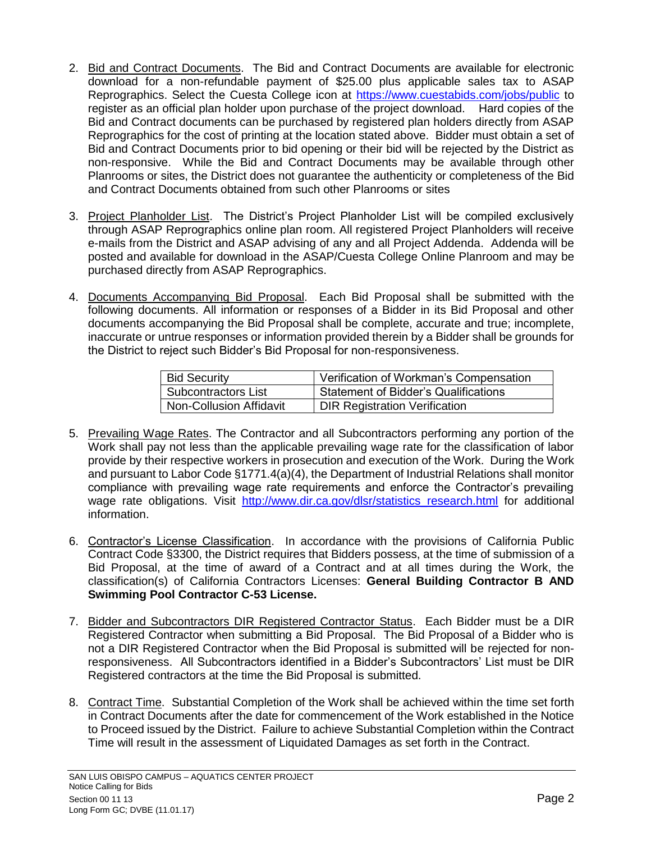- 2. Bid and Contract Documents. The Bid and Contract Documents are available for electronic download for a non-refundable payment of \$25.00 plus applicable sales tax to ASAP Reprographics. Select the Cuesta College icon at [https://www.cuestabids.com/jobs/public](https://protect-us.mimecast.com/s/bgYWCjRgm7S3XONsxBD-Y?domain=cuestabids.com) to register as an official plan holder upon purchase of the project download. Hard copies of the Bid and Contract documents can be purchased by registered plan holders directly from ASAP Reprographics for the cost of printing at the location stated above. Bidder must obtain a set of Bid and Contract Documents prior to bid opening or their bid will be rejected by the District as non-responsive. While the Bid and Contract Documents may be available through other Planrooms or sites, the District does not guarantee the authenticity or completeness of the Bid and Contract Documents obtained from such other Planrooms or sites
- 3. Project Planholder List. The District's Project Planholder List will be compiled exclusively through ASAP Reprographics online plan room. All registered Project Planholders will receive e-mails from the District and ASAP advising of any and all Project Addenda. Addenda will be posted and available for download in the ASAP/Cuesta College Online Planroom and may be purchased directly from ASAP Reprographics.
- 4. Documents Accompanying Bid Proposal. Each Bid Proposal shall be submitted with the following documents. All information or responses of a Bidder in its Bid Proposal and other documents accompanying the Bid Proposal shall be complete, accurate and true; incomplete, inaccurate or untrue responses or information provided therein by a Bidder shall be grounds for the District to reject such Bidder's Bid Proposal for non-responsiveness.

| <b>Bid Security</b>            | Verification of Workman's Compensation |
|--------------------------------|----------------------------------------|
| <b>Subcontractors List</b>     | Statement of Bidder's Qualifications   |
| <b>Non-Collusion Affidavit</b> | <b>DIR Registration Verification</b>   |

- 5. Prevailing Wage Rates. The Contractor and all Subcontractors performing any portion of the Work shall pay not less than the applicable prevailing wage rate for the classification of labor provide by their respective workers in prosecution and execution of the Work. During the Work and pursuant to Labor Code §1771.4(a)(4), the Department of Industrial Relations shall monitor compliance with prevailing wage rate requirements and enforce the Contractor's prevailing wage rate obligations. Visit [http://www.dir.ca.gov/dlsr/statistics\\_research.html](http://www.dir.ca.gov/dlsr/statistics_research.html) for additional information.
- 6. Contractor's License Classification. In accordance with the provisions of California Public Contract Code §3300, the District requires that Bidders possess, at the time of submission of a Bid Proposal, at the time of award of a Contract and at all times during the Work, the classification(s) of California Contractors Licenses: **General Building Contractor B AND Swimming Pool Contractor C-53 License.**
- 7. Bidder and Subcontractors DIR Registered Contractor Status. Each Bidder must be a DIR Registered Contractor when submitting a Bid Proposal. The Bid Proposal of a Bidder who is not a DIR Registered Contractor when the Bid Proposal is submitted will be rejected for nonresponsiveness. All Subcontractors identified in a Bidder's Subcontractors' List must be DIR Registered contractors at the time the Bid Proposal is submitted.
- 8. Contract Time. Substantial Completion of the Work shall be achieved within the time set forth in Contract Documents after the date for commencement of the Work established in the Notice to Proceed issued by the District. Failure to achieve Substantial Completion within the Contract Time will result in the assessment of Liquidated Damages as set forth in the Contract.